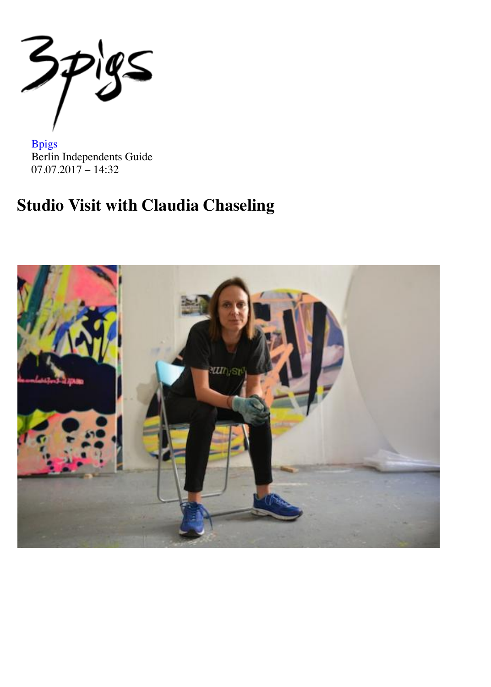$\mathcal{Z}_1$  $\geq 2$ 

Bpigs Berlin Independents Guide 07.07.2017 – 14:32

# **Studio Visit with Claudia Chaseling**

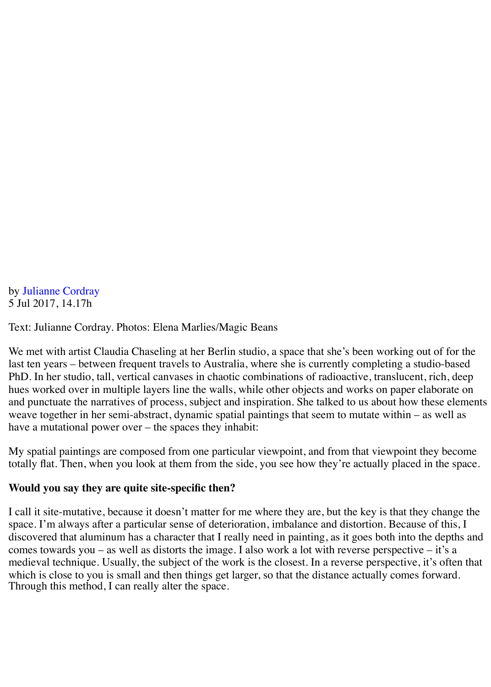by Julianne Cordray 5 Jul 2017, 14.17h

Text: Julianne Cordray. Photos: Elena Marlies/Magic Beans

We met with artist Claudia Chaseling at her Berlin studio, a space that she's been working out of for the last ten years – between frequent travels to Australia, where she is currently completing a studio-based PhD. In her studio, tall, vertical canvases in chaotic combinations of radioactive, translucent, rich, deep hues worked over in multiple layers line the walls, while other objects and works on paper elaborate on and punctuate the narratives of process, subject and inspiration. She talked to us about how these elements weave together in her semi-abstract, dynamic spatial paintings that seem to mutate within – as well as have a mutational power over – the spaces they inhabit:

My spatial paintings are composed from one particular viewpoint, and from that viewpoint they become totally flat. Then, when you look at them from the side, you see how they're actually placed in the space.

### **Would you say they are quite site-specific then?**

I call it site-mutative, because it doesn't matter for me where they are, but the key is that they change the space. I'm always after a particular sense of deterioration, imbalance and distortion. Because of this, I discovered that aluminum has a character that I really need in painting, as it goes both into the depths and comes towards you – as well as distorts the image. I also work a lot with reverse perspective – it's a medieval technique. Usually, the subject of the work is the closest. In a reverse perspective, it's often that which is close to you is small and then things get larger, so that the distance actually comes forward. Through this method, I can really alter the space.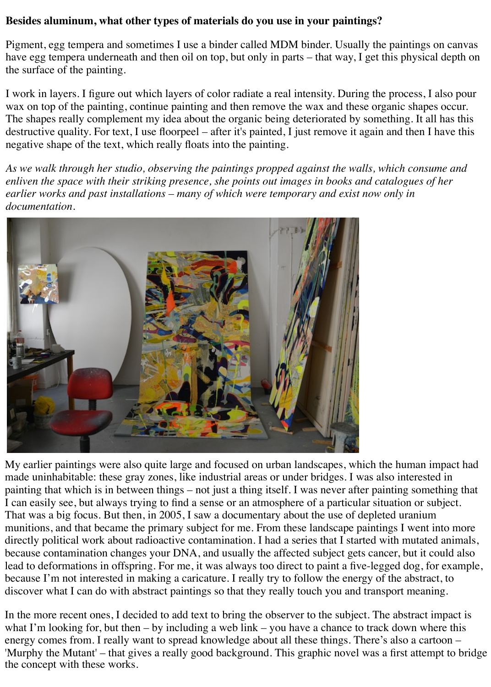### **Besides aluminum, what other types of materials do you use in your paintings?**

Pigment, egg tempera and sometimes I use a binder called MDM binder. Usually the paintings on canvas have egg tempera underneath and then oil on top, but only in parts – that way, I get this physical depth on the surface of the painting.

I work in layers. I figure out which layers of color radiate a real intensity. During the process, I also pour wax on top of the painting, continue painting and then remove the wax and these organic shapes occur. The shapes really complement my idea about the organic being deteriorated by something. It all has this destructive quality. For text, I use floorpeel – after it's painted, I just remove it again and then I have this negative shape of the text, which really floats into the painting.

*As we walk through her studio, observing the paintings propped against the walls, which consume and enliven the space with their striking presence, she points out images in books and catalogues of her earlier works and past installations – many of which were temporary and exist now only in documentation.*



My earlier paintings were also quite large and focused on urban landscapes, which the human impact had made uninhabitable: these gray zones, like industrial areas or under bridges. I was also interested in painting that which is in between things – not just a thing itself. I was never after painting something that I can easily see, but always trying to find a sense or an atmosphere of a particular situation or subject. That was a big focus. But then, in 2005, I saw a documentary about the use of depleted uranium munitions, and that became the primary subject for me. From these landscape paintings I went into more directly political work about radioactive contamination. I had a series that I started with mutated animals, because contamination changes your DNA, and usually the affected subject gets cancer, but it could also lead to deformations in offspring. For me, it was always too direct to paint a five-legged dog, for example, because I'm not interested in making a caricature. I really try to follow the energy of the abstract, to discover what I can do with abstract paintings so that they really touch you and transport meaning.

In the more recent ones, I decided to add text to bring the observer to the subject. The abstract impact is what I'm looking for, but then – by including a web link – you have a chance to track down where this energy comes from. I really want to spread knowledge about all these things. There's also a cartoon – 'Murphy the Mutant' – that gives a really good background. This graphic novel was a first attempt to bridge the concept with these works.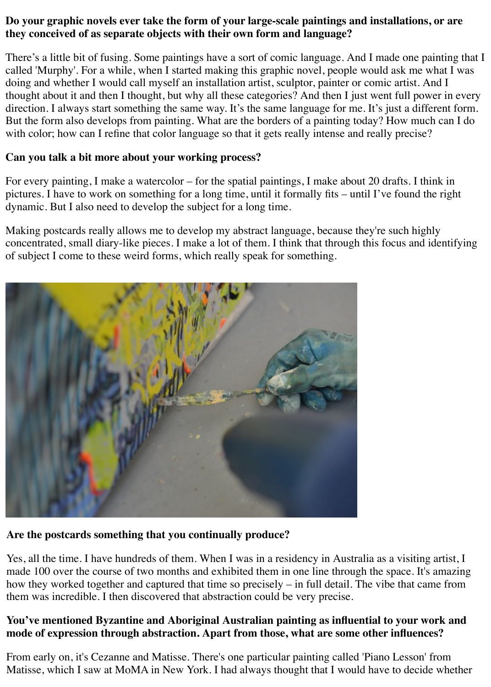## **Do your graphic novels ever take the form of your large-scale paintings and installations, or are they conceived of as separate objects with their own form and language?**

There's a little bit of fusing. Some paintings have a sort of comic language. And I made one painting that I called 'Murphy'. For a while, when I started making this graphic novel, people would ask me what I was doing and whether I would call myself an installation artist, sculptor, painter or comic artist. And I thought about it and then I thought, but why all these categories? And then I just went full power in every direction. I always start something the same way. It's the same language for me. It's just a different form. But the form also develops from painting. What are the borders of a painting today? How much can I do with color; how can I refine that color language so that it gets really intense and really precise?

# **Can you talk a bit more about your working process?**

For every painting, I make a watercolor – for the spatial paintings, I make about 20 drafts. I think in pictures. I have to work on something for a long time, until it formally fits – until I've found the right dynamic. But I also need to develop the subject for a long time.

Making postcards really allows me to develop my abstract language, because they're such highly concentrated, small diary-like pieces. I make a lot of them. I think that through this focus and identifying of subject I come to these weird forms, which really speak for something.



# **Are the postcards something that you continually produce?**

Yes, all the time. I have hundreds of them. When I was in a residency in Australia as a visiting artist, I made 100 over the course of two months and exhibited them in one line through the space. It's amazing how they worked together and captured that time so precisely – in full detail. The vibe that came from them was incredible. I then discovered that abstraction could be very precise.

## **You've mentioned Byzantine and Aboriginal Australian painting as influential to your work and mode of expression through abstraction. Apart from those, what are some other influences?**

From early on, it's Cezanne and Matisse. There's one particular painting called 'Piano Lesson' from Matisse, which I saw at MoMA in New York. I had always thought that I would have to decide whether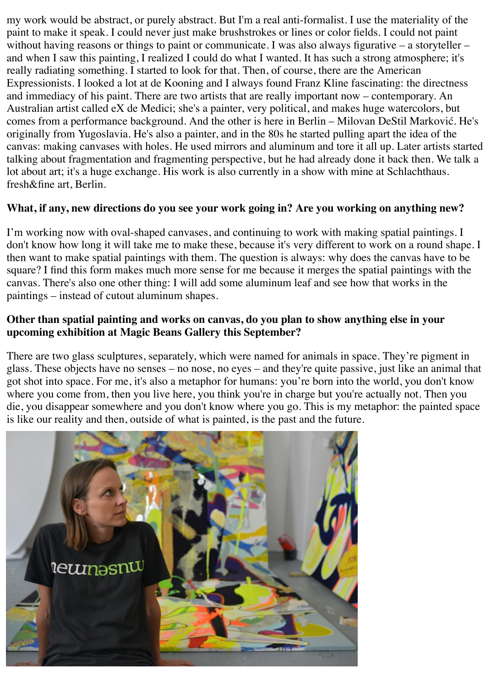my work would be abstract, or purely abstract. But I'm a real anti-formalist. I use the materiality of the paint to make it speak. I could never just make brushstrokes or lines or color fields. I could not paint without having reasons or things to paint or communicate. I was also always figurative – a storyteller – and when I saw this painting, I realized I could do what I wanted. It has such a strong atmosphere; it's really radiating something. I started to look for that. Then, of course, there are the American Expressionists. I looked a lot at de Kooning and I always found Franz Kline fascinating: the directness and immediacy of his paint. There are two artists that are really important now – contemporary. An Australian artist called eX de Medici; she's a painter, very political, and makes huge watercolors, but comes from a performance background. And the other is here in Berlin – Milovan DeStil Marković. He's originally from Yugoslavia. He's also a painter, and in the 80s he started pulling apart the idea of the canvas: making canvases with holes. He used mirrors and aluminum and tore it all up. Later artists started talking about fragmentation and fragmenting perspective, but he had already done it back then. We talk a lot about art; it's a huge exchange. His work is also currently in a show with mine at Schlachthaus. fresh&fine art, Berlin.

## **What, if any, new directions do you see your work going in? Are you working on anything new?**

I'm working now with oval-shaped canvases, and continuing to work with making spatial paintings. I don't know how long it will take me to make these, because it's very different to work on a round shape. I then want to make spatial paintings with them. The question is always: why does the canvas have to be square? I find this form makes much more sense for me because it merges the spatial paintings with the canvas. There's also one other thing: I will add some aluminum leaf and see how that works in the paintings – instead of cutout aluminum shapes.

### **Other than spatial painting and works on canvas, do you plan to show anything else in your upcoming exhibition at Magic Beans Gallery this September?**

There are two glass sculptures, separately, which were named for animals in space. They're pigment in glass. These objects have no senses – no nose, no eyes – and they're quite passive, just like an animal that got shot into space. For me, it's also a metaphor for humans: you're born into the world, you don't know where you come from, then you live here, you think you're in charge but you're actually not. Then you die, you disappear somewhere and you don't know where you go. This is my metaphor: the painted space is like our reality and then, outside of what is painted, is the past and the future.